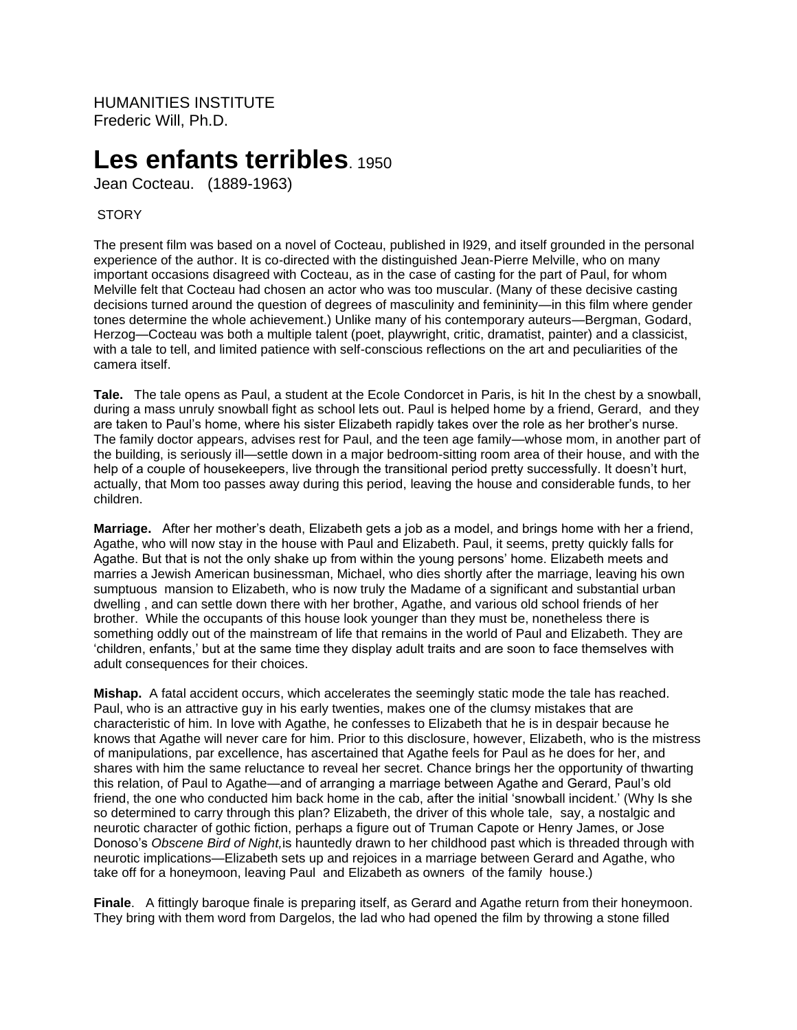HUMANITIES INSTITUTE Frederic Will, Ph.D.

# Les enfants terribles 1950

Jean Cocteau. (1889-1963)

# STORY

The present film was based on a novel of Cocteau, published in l929, and itself grounded in the personal experience of the author. It is co-directed with the distinguished Jean-Pierre Melville, who on many important occasions disagreed with Cocteau, as in the case of casting for the part of Paul, for whom Melville felt that Cocteau had chosen an actor who was too muscular. (Many of these decisive casting decisions turned around the question of degrees of masculinity and femininity—in this film where gender tones determine the whole achievement.) Unlike many of his contemporary auteurs—Bergman, Godard, Herzog—Cocteau was both a multiple talent (poet, playwright, critic, dramatist, painter) and a classicist, with a tale to tell, and limited patience with self-conscious reflections on the art and peculiarities of the camera itself.

**Tale.** The tale opens as Paul, a student at the Ecole Condorcet in Paris, is hit In the chest by a snowball, during a mass unruly snowball fight as school lets out. Paul is helped home by a friend, Gerard, and they are taken to Paul's home, where his sister Elizabeth rapidly takes over the role as her brother's nurse. The family doctor appears, advises rest for Paul, and the teen age family—whose mom, in another part of the building, is seriously ill—settle down in a major bedroom-sitting room area of their house, and with the help of a couple of housekeepers, live through the transitional period pretty successfully. It doesn't hurt, actually, that Mom too passes away during this period, leaving the house and considerable funds, to her children.

**Marriage.** After her mother's death, Elizabeth gets a job as a model, and brings home with her a friend, Agathe, who will now stay in the house with Paul and Elizabeth. Paul, it seems, pretty quickly falls for Agathe. But that is not the only shake up from within the young persons' home. Elizabeth meets and marries a Jewish American businessman, Michael, who dies shortly after the marriage, leaving his own sumptuous mansion to Elizabeth, who is now truly the Madame of a significant and substantial urban dwelling , and can settle down there with her brother, Agathe, and various old school friends of her brother. While the occupants of this house look younger than they must be, nonetheless there is something oddly out of the mainstream of life that remains in the world of Paul and Elizabeth. They are 'children, enfants,' but at the same time they display adult traits and are soon to face themselves with adult consequences for their choices.

**Mishap.** A fatal accident occurs, which accelerates the seemingly static mode the tale has reached. Paul, who is an attractive guy in his early twenties, makes one of the clumsy mistakes that are characteristic of him. In love with Agathe, he confesses to Elizabeth that he is in despair because he knows that Agathe will never care for him. Prior to this disclosure, however, Elizabeth, who is the mistress of manipulations, par excellence, has ascertained that Agathe feels for Paul as he does for her, and shares with him the same reluctance to reveal her secret. Chance brings her the opportunity of thwarting this relation, of Paul to Agathe—and of arranging a marriage between Agathe and Gerard, Paul's old friend, the one who conducted him back home in the cab, after the initial 'snowball incident.' (Why Is she so determined to carry through this plan? Elizabeth, the driver of this whole tale, say, a nostalgic and neurotic character of gothic fiction, perhaps a figure out of Truman Capote or Henry James, or Jose Donoso's *Obscene Bird of Night,*is hauntedly drawn to her childhood past which is threaded through with neurotic implications—Elizabeth sets up and rejoices in a marriage between Gerard and Agathe, who take off for a honeymoon, leaving Paul and Elizabeth as owners of the family house.)

**Finale**. A fittingly baroque finale is preparing itself, as Gerard and Agathe return from their honeymoon. They bring with them word from Dargelos, the lad who had opened the film by throwing a stone filled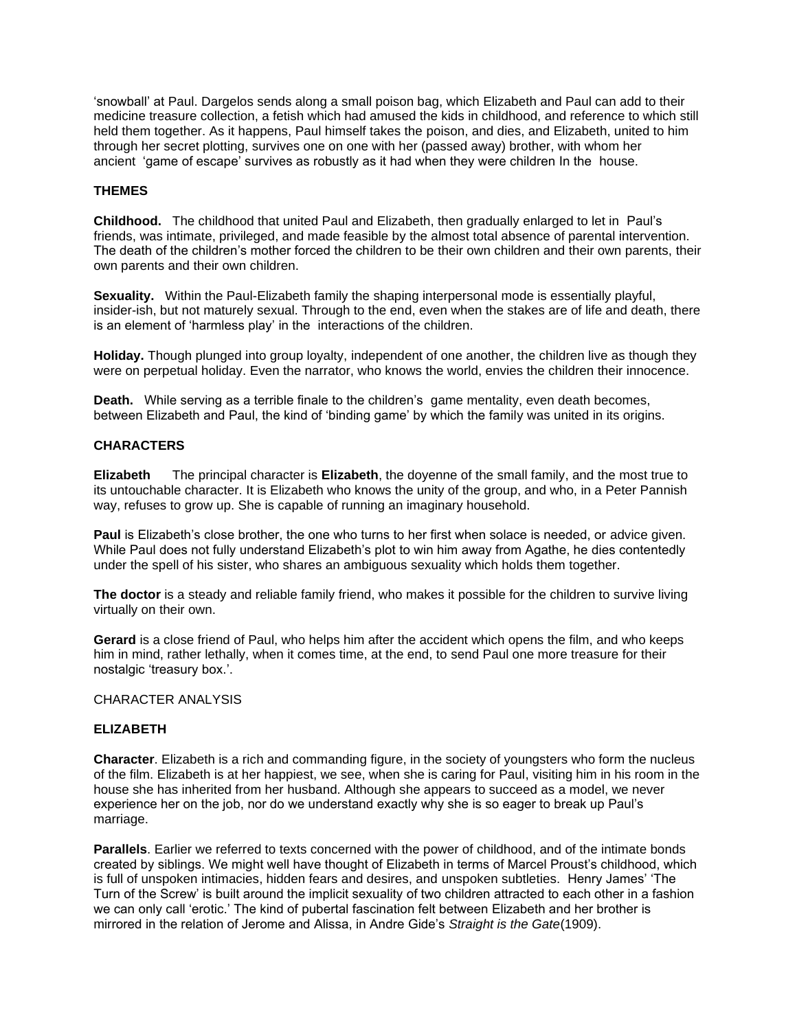'snowball' at Paul. Dargelos sends along a small poison bag, which Elizabeth and Paul can add to their medicine treasure collection, a fetish which had amused the kids in childhood, and reference to which still held them together. As it happens, Paul himself takes the poison, and dies, and Elizabeth, united to him through her secret plotting, survives one on one with her (passed away) brother, with whom her ancient 'game of escape' survives as robustly as it had when they were children In the house.

# **THEMES**

**Childhood.** The childhood that united Paul and Elizabeth, then gradually enlarged to let in Paul's friends, was intimate, privileged, and made feasible by the almost total absence of parental intervention. The death of the children's mother forced the children to be their own children and their own parents, their own parents and their own children.

**Sexuality.** Within the Paul-Elizabeth family the shaping interpersonal mode is essentially playful, insider-ish, but not maturely sexual. Through to the end, even when the stakes are of life and death, there is an element of 'harmless play' in the interactions of the children.

**Holiday.** Though plunged into group loyalty, independent of one another, the children live as though they were on perpetual holiday. Even the narrator, who knows the world, envies the children their innocence.

**Death.** While serving as a terrible finale to the children's game mentality, even death becomes, between Elizabeth and Paul, the kind of 'binding game' by which the family was united in its origins.

### **CHARACTERS**

**Elizabeth** The principal character is **Elizabeth**, the doyenne of the small family, and the most true to its untouchable character. It is Elizabeth who knows the unity of the group, and who, in a Peter Pannish way, refuses to grow up. She is capable of running an imaginary household.

**Paul** is Elizabeth's close brother, the one who turns to her first when solace is needed, or advice given. While Paul does not fully understand Elizabeth's plot to win him away from Agathe, he dies contentedly under the spell of his sister, who shares an ambiguous sexuality which holds them together.

**The doctor** is a steady and reliable family friend, who makes it possible for the children to survive living virtually on their own.

**Gerard** is a close friend of Paul, who helps him after the accident which opens the film, and who keeps him in mind, rather lethally, when it comes time, at the end, to send Paul one more treasure for their nostalgic 'treasury box.'.

#### CHARACTER ANALYSIS

# **ELIZABETH**

**Character**. Elizabeth is a rich and commanding figure, in the society of youngsters who form the nucleus of the film. Elizabeth is at her happiest, we see, when she is caring for Paul, visiting him in his room in the house she has inherited from her husband. Although she appears to succeed as a model, we never experience her on the job, nor do we understand exactly why she is so eager to break up Paul's marriage.

**Parallels**. Earlier we referred to texts concerned with the power of childhood, and of the intimate bonds created by siblings. We might well have thought of Elizabeth in terms of Marcel Proust's childhood, which is full of unspoken intimacies, hidden fears and desires, and unspoken subtleties. Henry James' 'The Turn of the Screw' is built around the implicit sexuality of two children attracted to each other in a fashion we can only call 'erotic.' The kind of pubertal fascination felt between Elizabeth and her brother is mirrored in the relation of Jerome and Alissa, in Andre Gide's *Straight is the Gate*(1909).